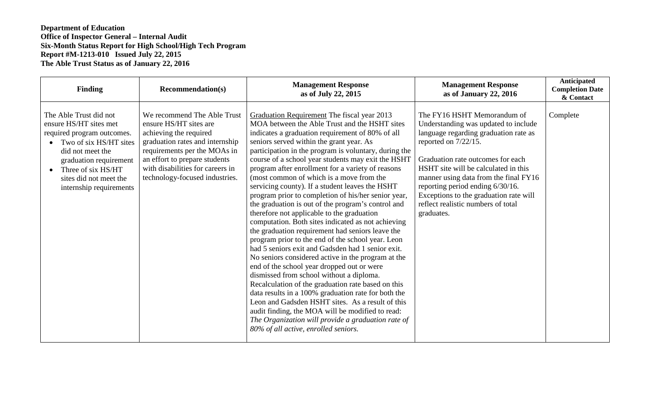## **Department of Education Office of Inspector General – Internal Audit Six-Month Status Report for High School/High Tech Program Report #M-1213-010 Issued July 22, 2015 The Able Trust Status as of January 22, 2016**

| <b>Finding</b>                                                                                                                                                                                                                    | <b>Recommendation(s)</b>                                                                                                                                                                                                                                  | <b>Management Response</b><br>as of July 22, 2015                                                                                                                                                                                                                                                                                                                                                                                                                                                                                                                                                                                                                                                                                                                                                                                                                                                                                                                                                                                                                                                                                                                                                                                                                                                                 | <b>Management Response</b><br>as of January 22, 2016                                                                                                                                                                                                                                                                                                                                            | Anticipated<br><b>Completion Date</b><br>& Contact |
|-----------------------------------------------------------------------------------------------------------------------------------------------------------------------------------------------------------------------------------|-----------------------------------------------------------------------------------------------------------------------------------------------------------------------------------------------------------------------------------------------------------|-------------------------------------------------------------------------------------------------------------------------------------------------------------------------------------------------------------------------------------------------------------------------------------------------------------------------------------------------------------------------------------------------------------------------------------------------------------------------------------------------------------------------------------------------------------------------------------------------------------------------------------------------------------------------------------------------------------------------------------------------------------------------------------------------------------------------------------------------------------------------------------------------------------------------------------------------------------------------------------------------------------------------------------------------------------------------------------------------------------------------------------------------------------------------------------------------------------------------------------------------------------------------------------------------------------------|-------------------------------------------------------------------------------------------------------------------------------------------------------------------------------------------------------------------------------------------------------------------------------------------------------------------------------------------------------------------------------------------------|----------------------------------------------------|
| The Able Trust did not<br>ensure HS/HT sites met<br>required program outcomes.<br>Two of six HS/HT sites<br>did not meet the<br>graduation requirement<br>Three of six HS/HT<br>sites did not meet the<br>internship requirements | We recommend The Able Trust<br>ensure HS/HT sites are<br>achieving the required<br>graduation rates and internship<br>requirements per the MOAs in<br>an effort to prepare students<br>with disabilities for careers in<br>technology-focused industries. | Graduation Requirement The fiscal year 2013<br>MOA between the Able Trust and the HSHT sites<br>indicates a graduation requirement of 80% of all<br>seniors served within the grant year. As<br>participation in the program is voluntary, during the<br>course of a school year students may exit the HSHT<br>program after enrollment for a variety of reasons<br>(most common of which is a move from the<br>servicing county). If a student leaves the HSHT<br>program prior to completion of his/her senior year,<br>the graduation is out of the program's control and<br>therefore not applicable to the graduation<br>computation. Both sites indicated as not achieving<br>the graduation requirement had seniors leave the<br>program prior to the end of the school year. Leon<br>had 5 seniors exit and Gadsden had 1 senior exit.<br>No seniors considered active in the program at the<br>end of the school year dropped out or were<br>dismissed from school without a diploma.<br>Recalculation of the graduation rate based on this<br>data results in a 100% graduation rate for both the<br>Leon and Gadsden HSHT sites. As a result of this<br>audit finding, the MOA will be modified to read:<br>The Organization will provide a graduation rate of<br>80% of all active, enrolled seniors. | The FY16 HSHT Memorandum of<br>Understanding was updated to include<br>language regarding graduation rate as<br>reported on $7/22/15$ .<br>Graduation rate outcomes for each<br>HSHT site will be calculated in this<br>manner using data from the final FY16<br>reporting period ending 6/30/16.<br>Exceptions to the graduation rate will<br>reflect realistic numbers of total<br>graduates. | Complete                                           |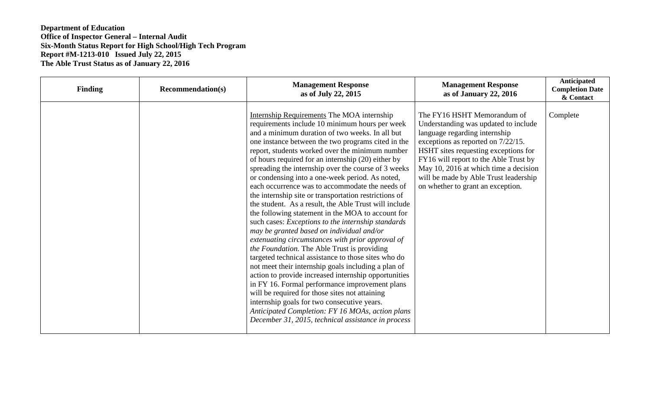## **Department of Education Office of Inspector General – Internal Audit Six-Month Status Report for High School/High Tech Program Report #M-1213-010 Issued July 22, 2015 The Able Trust Status as of January 22, 2016**

| <b>Finding</b> | <b>Recommendation(s)</b> | <b>Management Response</b><br>as of July 22, 2015                                                                                                                                                                                                                                                                                                                                                                                                                                                                                                                                                                                                                                                                                                                                                                                                                                                                                                                                                                                                                                                                                                                                                                                                                                           | <b>Management Response</b><br>as of January 22, 2016                                                                                                                                                                                                                                                                                               | Anticipated<br><b>Completion Date</b><br>& Contact |
|----------------|--------------------------|---------------------------------------------------------------------------------------------------------------------------------------------------------------------------------------------------------------------------------------------------------------------------------------------------------------------------------------------------------------------------------------------------------------------------------------------------------------------------------------------------------------------------------------------------------------------------------------------------------------------------------------------------------------------------------------------------------------------------------------------------------------------------------------------------------------------------------------------------------------------------------------------------------------------------------------------------------------------------------------------------------------------------------------------------------------------------------------------------------------------------------------------------------------------------------------------------------------------------------------------------------------------------------------------|----------------------------------------------------------------------------------------------------------------------------------------------------------------------------------------------------------------------------------------------------------------------------------------------------------------------------------------------------|----------------------------------------------------|
|                |                          | Internship Requirements The MOA internship<br>requirements include 10 minimum hours per week<br>and a minimum duration of two weeks. In all but<br>one instance between the two programs cited in the<br>report, students worked over the minimum number<br>of hours required for an internship (20) either by<br>spreading the internship over the course of 3 weeks<br>or condensing into a one-week period. As noted,<br>each occurrence was to accommodate the needs of<br>the internship site or transportation restrictions of<br>the student. As a result, the Able Trust will include<br>the following statement in the MOA to account for<br>such cases: Exceptions to the internship standards<br>may be granted based on individual and/or<br>extenuating circumstances with prior approval of<br>the Foundation. The Able Trust is providing<br>targeted technical assistance to those sites who do<br>not meet their internship goals including a plan of<br>action to provide increased internship opportunities<br>in FY 16. Formal performance improvement plans<br>will be required for those sites not attaining<br>internship goals for two consecutive years.<br>Anticipated Completion: FY 16 MOAs, action plans<br>December 31, 2015, technical assistance in process | The FY16 HSHT Memorandum of<br>Understanding was updated to include<br>language regarding internship<br>exceptions as reported on 7/22/15.<br>HSHT sites requesting exceptions for<br>FY16 will report to the Able Trust by<br>May 10, 2016 at which time a decision<br>will be made by Able Trust leadership<br>on whether to grant an exception. | Complete                                           |